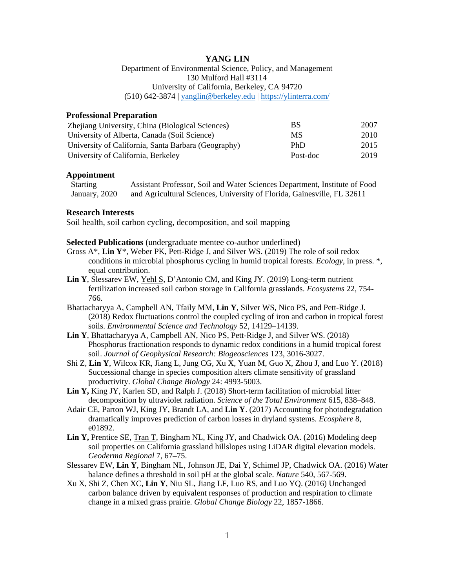# **YANG LIN**

Department of Environmental Science, Policy, and Management 130 Mulford Hall #3114 University of California, Berkeley, CA 94720 (510) 642-3874 | [yanglin@berkeley.edu](mailto:yanglin@berkeley.edu) |<https://ylinterra.com/>

## **Professional Preparation**

| Zhejiang University, China (Biological Sciences)    | BS       | 2007 |
|-----------------------------------------------------|----------|------|
| University of Alberta, Canada (Soil Science)        | MS       | 2010 |
| University of California, Santa Barbara (Geography) | PhD      | 2015 |
| University of California, Berkeley                  | Post-doc | 2019 |

### **Appointment**

**Starting** January, 2020 Assistant Professor, Soil and Water Sciences Department, Institute of Food and Agricultural Sciences, University of Florida, Gainesville, FL 32611

#### **Research Interests**

Soil health, soil carbon cycling, decomposition, and soil mapping

## **Selected Publications** (undergraduate mentee co-author underlined)

- Gross A\*, **Lin Y**\*, Weber PK, Pett-Ridge J, and Silver WS. (2019) The role of soil redox conditions in microbial phosphorus cycling in humid tropical forests. *Ecology*, in press. \*, equal contribution.
- **Lin Y**, Slessarev EW, Yehl S, D'Antonio CM, and King JY. (2019) Long-term nutrient fertilization increased soil carbon storage in California grasslands. *Ecosystems* 22, 754- 766.
- Bhattacharyya A, Campbell AN, Tfaily MM, **Lin Y**, Silver WS, Nico PS, and Pett-Ridge J. (2018) Redox fluctuations control the coupled cycling of iron and carbon in tropical forest soils. *Environmental Science and Technology* 52, 14129–14139.
- **Lin Y**, Bhattacharyya A, Campbell AN, Nico PS, Pett-Ridge J, and Silver WS. (2018) Phosphorus fractionation responds to dynamic redox conditions in a humid tropical forest soil. *Journal of Geophysical Research: Biogeosciences* 123, 3016-3027.
- Shi Z, **Lin Y**, Wilcox KR, Jiang L, Jung CG, Xu X, Yuan M, Guo X, Zhou J, and Luo Y. (2018) Successional change in species composition alters climate sensitivity of grassland productivity. *Global Change Biology* 24: 4993-5003.
- **Lin Y,** King JY, Karlen SD, and Ralph J. (2018) Short-term facilitation of microbial litter decomposition by ultraviolet radiation. *Science of the Total Environment* 615, 838–848.
- Adair CE, Parton WJ, King JY, Brandt LA, and **Lin Y**. (2017) Accounting for photodegradation dramatically improves prediction of carbon losses in dryland systems. *Ecosphere* 8, e01892.
- **Lin Y,** Prentice SE, Tran T, Bingham NL, King JY, and Chadwick OA. (2016) Modeling deep soil properties on California grassland hillslopes using LiDAR digital elevation models. *Geoderma Regional* 7, 67–75.
- Slessarev EW, **Lin Y**, Bingham NL, Johnson JE, Dai Y, Schimel JP, Chadwick OA. (2016) Water balance defines a threshold in soil pH at the global scale. *Nature* 540, 567-569.
- Xu X, Shi Z, Chen XC, **Lin Y**, Niu SL, Jiang LF, Luo RS, and Luo YQ. (2016) Unchanged carbon balance driven by equivalent responses of production and respiration to climate change in a mixed grass prairie. *Global Change Biology* 22, 1857-1866.